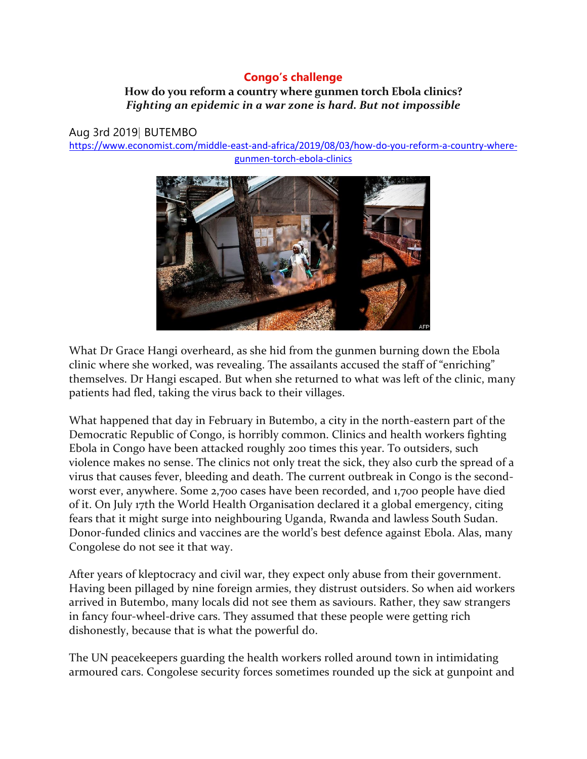## **Congo's challenge**

## **How do you reform a country where gunmen torch Ebola clinics?** *Fighting an epidemic in a war zone is hard. But not impossible*

Aug 3rd 2019| BUTEMBO

[https://www.economist.com/middle-east-and-africa/2019/08/03/how-do-you-reform-a-country-where](https://www.economist.com/middle-east-and-africa/2019/08/03/how-do-you-reform-a-country-where-gunmen-torch-ebola-clinics)[gunmen-torch-ebola-clinics](https://www.economist.com/middle-east-and-africa/2019/08/03/how-do-you-reform-a-country-where-gunmen-torch-ebola-clinics)



What Dr Grace Hangi overheard, as she hid from the gunmen burning down the Ebola clinic where she worked, was revealing. The assailants accused the staff of "enriching" themselves. Dr Hangi escaped. But when she returned to what was left of the clinic, many patients had fled, taking the virus back to their villages.

What happened that day in February in Butembo, a city in the north-eastern part of the Democratic Republic of Congo, is horribly common. Clinics and health workers fighting Ebola in Congo have been attacked roughly 200 times this year. To outsiders, such violence makes no sense. The clinics not only treat the sick, they also curb the spread of a virus that causes fever, bleeding and death. The current outbreak in Congo is the secondworst ever, anywhere. Some 2,700 cases have been recorded, and 1,700 people have died of it. On July 17th the World Health Organisation declared it a global emergency, citing fears that it might surge into neighbouring Uganda, Rwanda and lawless South Sudan. Donor-funded clinics and vaccines are the world's best defence against Ebola. Alas, many Congolese do not see it that way.

After years of kleptocracy and civil war, they expect only abuse from their government. Having been pillaged by nine foreign armies, they distrust outsiders. So when aid workers arrived in Butembo, many locals did not see them as saviours. Rather, they saw strangers in fancy four-wheel-drive cars. They assumed that these people were getting rich dishonestly, because that is what the powerful do.

The UN peacekeepers guarding the health workers rolled around town in intimidating armoured cars. Congolese security forces sometimes rounded up the sick at gunpoint and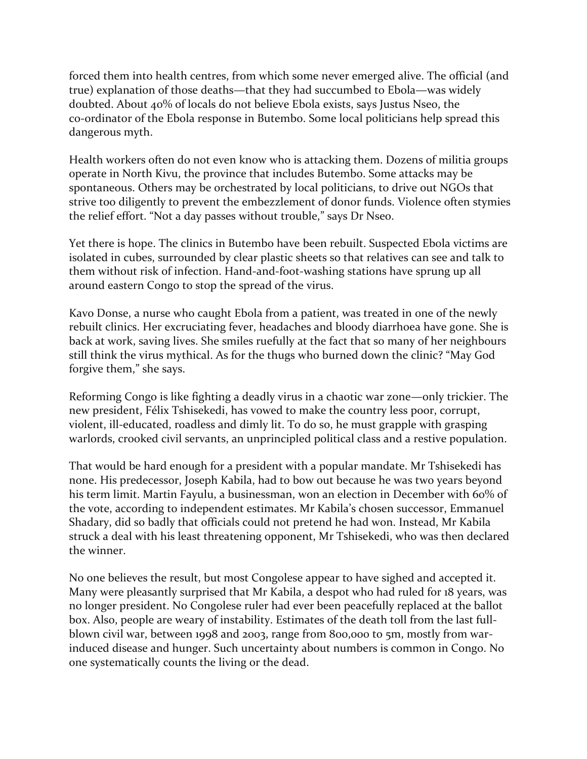forced them into health centres, from which some never emerged alive. The official (and true) explanation of those deaths—that they had succumbed to Ebola—was widely doubted. About 40% of locals do not believe Ebola exists, says Justus Nseo, the co-ordinator of the Ebola response in Butembo. Some local politicians help spread this dangerous myth.

Health workers often do not even know who is attacking them. Dozens of militia groups operate in North Kivu, the province that includes Butembo. Some attacks may be spontaneous. Others may be orchestrated by local politicians, to drive out NGOs that strive too diligently to prevent the embezzlement of donor funds. Violence often stymies the relief effort. "Not a day passes without trouble," says Dr Nseo.

Yet there is hope. The clinics in Butembo have been rebuilt. Suspected Ebola victims are isolated in cubes, surrounded by clear plastic sheets so that relatives can see and talk to them without risk of infection. Hand-and-foot-washing stations have sprung up all around eastern Congo to stop the spread of the virus.

Kavo Donse, a nurse who caught Ebola from a patient, was treated in one of the newly rebuilt clinics. Her excruciating fever, headaches and bloody diarrhoea have gone. She is back at work, saving lives. She smiles ruefully at the fact that so many of her neighbours still think the virus mythical. As for the thugs who burned down the clinic? "May God forgive them," she says.

Reforming Congo is like fighting a deadly virus in a chaotic war zone—only trickier. The new president, Félix Tshisekedi, has vowed to make the country less poor, corrupt, violent, ill-educated, roadless and dimly lit. To do so, he must grapple with grasping warlords, crooked civil servants, an unprincipled political class and a restive population.

That would be hard enough for a president with a popular mandate. Mr Tshisekedi has none. His predecessor, Joseph Kabila, had to bow out because he was two years beyond his term limit. Martin Fayulu, a businessman, won an election in December with 60% of the vote, according to independent estimates. Mr Kabila's chosen successor, Emmanuel Shadary, did so badly that officials could not pretend he had won. Instead, Mr Kabila struck a deal with his least threatening opponent, Mr Tshisekedi, who was then declared the winner.

No one believes the result, but most Congolese appear to have sighed and accepted it. Many were pleasantly surprised that Mr Kabila, a despot who had ruled for 18 years, was no longer president. No Congolese ruler had ever been peacefully replaced at the ballot box. Also, people are weary of instability. Estimates of the death toll from the last fullblown civil war, between 1998 and 2003, range from 800,000 to 5m, mostly from warinduced disease and hunger. Such uncertainty about numbers is common in Congo. No one systematically counts the living or the dead.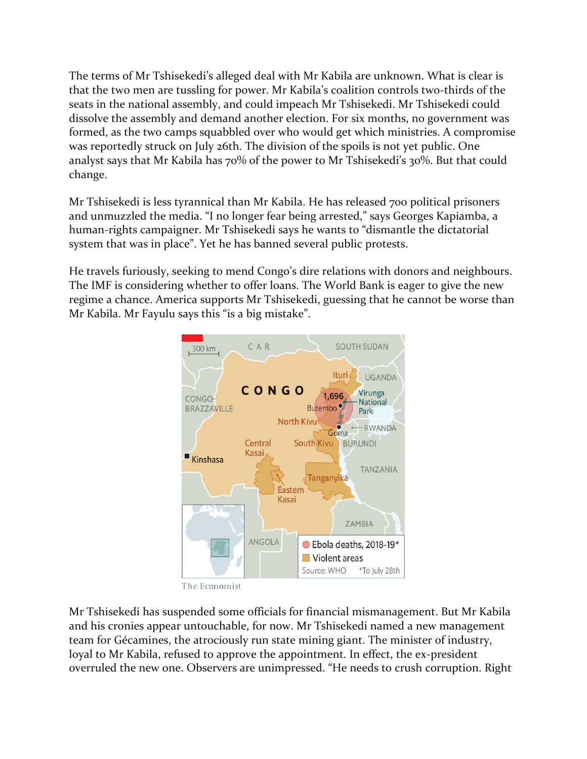The terms of Mr Tshisekedi's alleged deal with Mr Kabila are unknown. What is clear is that the two men are tussling for power. Mr Kabila's coalition controls two-thirds of the seats in the national assembly, and could impeach Mr Tshisekedi. Mr Tshisekedi could dissolve the assembly and demand another election. For six months, no government was formed, as the two camps squabbled over who would get which ministries. A compromise was reportedly struck on July 26th. The division of the spoils is not yet public. One analyst says that Mr Kabila has 70% of the power to Mr Tshisekedi's 30%. But that could change.

Mr Tshisekedi is less tyrannical than Mr Kabila. He has released 700 political prisoners and unmuzzled the media. "I no longer fear being arrested," says Georges Kapiamba, a human-rights campaigner. Mr Tshisekedi says he wants to "dismantle the dictatorial system that was in place". Yet he has banned several public protests.

He travels furiously, seeking to mend Congo's dire relations with donors and neighbours. The IMF is considering whether to offer loans. The World Bank is eager to give the new regime a chance. America supports Mr Tshisekedi, guessing that he cannot be worse than Mr Kabila. Mr Fayulu says this "is a big mistake".



The Economist

Mr Tshisekedi has suspended some officials for financial mismanagement. But Mr Kabila and his cronies appear untouchable, for now. Mr Tshisekedi named a new management team for Gécamines, the atrociously run state mining giant. The minister of industry, loyal to Mr Kabila, refused to approve the appointment. In effect, the ex-president overruled the new one. Observers are unimpressed. "He needs to crush corruption. Right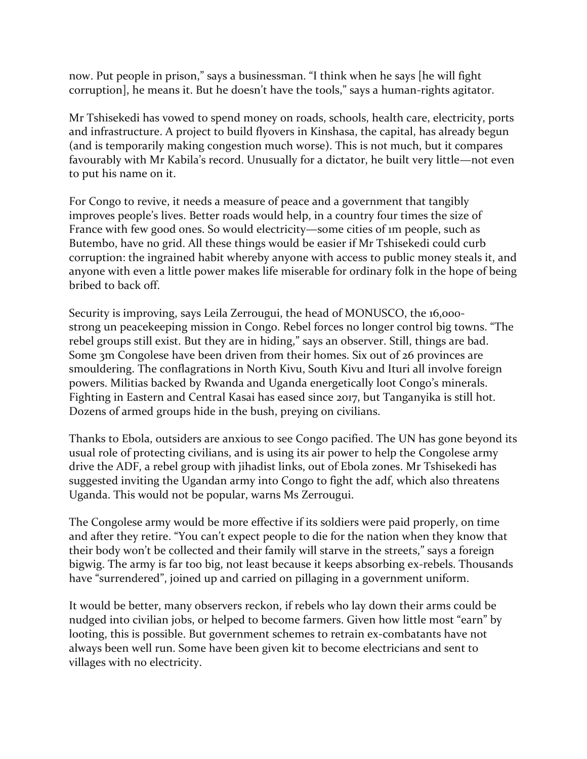now. Put people in prison," says a businessman. "I think when he says [he will fight corruption], he means it. But he doesn't have the tools," says a human-rights agitator.

Mr Tshisekedi has vowed to spend money on roads, schools, health care, electricity, ports and infrastructure. A project to build flyovers in Kinshasa, the capital, has already begun (and is temporarily making congestion much worse). This is not much, but it compares favourably with Mr Kabila's record. Unusually for a dictator, he built very little—not even to put his name on it.

For Congo to revive, it needs a measure of peace and a government that tangibly improves people's lives. Better roads would help, in a country four times the size of France with few good ones. So would electricity—some cities of 1m people, such as Butembo, have no grid. All these things would be easier if Mr Tshisekedi could curb corruption: the ingrained habit whereby anyone with access to public money steals it, and anyone with even a little power makes life miserable for ordinary folk in the hope of being bribed to back off.

Security is improving, says Leila Zerrougui, the head of MONUSCO, the 16,000 strong un peacekeeping mission in Congo. Rebel forces no longer control big towns. "The rebel groups still exist. But they are in hiding," says an observer. Still, things are bad. Some 3m Congolese have been driven from their homes. Six out of 26 provinces are smouldering. The conflagrations in North Kivu, South Kivu and Ituri all involve foreign powers. Militias backed by Rwanda and Uganda energetically loot Congo's minerals. Fighting in Eastern and Central Kasai has eased since 2017, but Tanganyika is still hot. Dozens of armed groups hide in the bush, preying on civilians.

Thanks to Ebola, outsiders are anxious to see Congo pacified. The UN has gone beyond its usual role of protecting civilians, and is using its air power to help the Congolese army drive the ADF, a rebel group with jihadist links, out of Ebola zones. Mr Tshisekedi has suggested inviting the Ugandan army into Congo to fight the adf, which also threatens Uganda. This would not be popular, warns Ms Zerrougui.

The Congolese army would be more effective if its soldiers were paid properly, on time and after they retire. "You can't expect people to die for the nation when they know that their body won't be collected and their family will starve in the streets," says a foreign bigwig. The army is far too big, not least because it keeps absorbing ex-rebels. Thousands have "surrendered", joined up and carried on pillaging in a government uniform.

It would be better, many observers reckon, if rebels who lay down their arms could be nudged into civilian jobs, or helped to become farmers. Given how little most "earn" by looting, this is possible. But government schemes to retrain ex-combatants have not always been well run. Some have been given kit to become electricians and sent to villages with no electricity.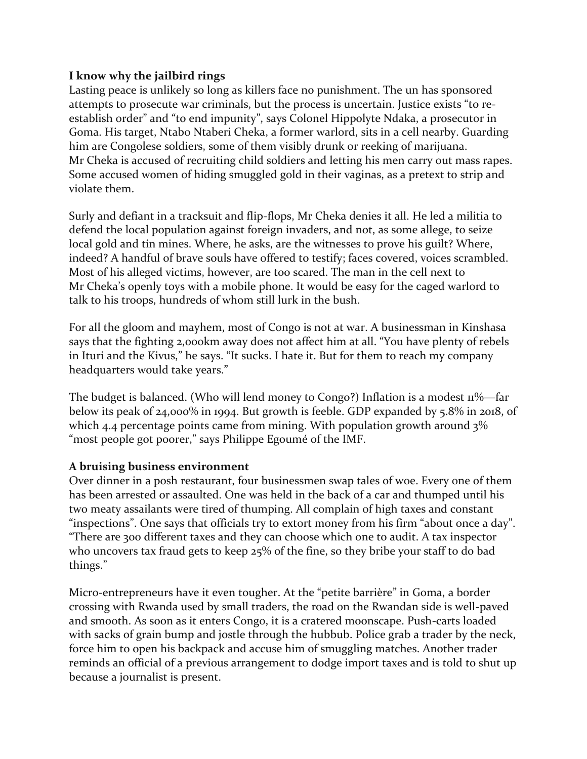## **I know why the jailbird rings**

Lasting peace is unlikely so long as killers face no punishment. The un has sponsored attempts to prosecute war criminals, but the process is uncertain. Justice exists "to reestablish order" and "to end impunity", says Colonel Hippolyte Ndaka, a prosecutor in Goma. His target, Ntabo Ntaberi Cheka, a former warlord, sits in a cell nearby. Guarding him are Congolese soldiers, some of them visibly drunk or reeking of marijuana. Mr Cheka is accused of recruiting child soldiers and letting his men carry out mass rapes. Some accused women of hiding smuggled gold in their vaginas, as a pretext to strip and violate them.

Surly and defiant in a tracksuit and flip-flops, Mr Cheka denies it all. He led a militia to defend the local population against foreign invaders, and not, as some allege, to seize local gold and tin mines. Where, he asks, are the witnesses to prove his guilt? Where, indeed? A handful of brave souls have offered to testify; faces covered, voices scrambled. Most of his alleged victims, however, are too scared. The man in the cell next to Mr Cheka's openly toys with a mobile phone. It would be easy for the caged warlord to talk to his troops, hundreds of whom still lurk in the bush.

For all the gloom and mayhem, most of Congo is not at war. A businessman in Kinshasa says that the fighting 2,000km away does not affect him at all. "You have plenty of rebels in Ituri and the Kivus," he says. "It sucks. I hate it. But for them to reach my company headquarters would take years."

The budget is balanced. (Who will lend money to Congo?) Inflation is a modest 11%—far below its peak of 24,000% in 1994. But growth is feeble. GDP expanded by 5.8% in 2018, of which 4.4 percentage points came from mining. With population growth around  $3\%$ "most people got poorer," says Philippe Egoumé of the IMF.

## **A bruising business environment**

Over dinner in a posh restaurant, four businessmen swap tales of woe. Every one of them has been arrested or assaulted. One was held in the back of a car and thumped until his two meaty assailants were tired of thumping. All complain of high taxes and constant "inspections". One says that officials try to extort money from his firm "about once a day". "There are 300 different taxes and they can choose which one to audit. A tax inspector who uncovers tax fraud gets to keep 25% of the fine, so they bribe your staff to do bad things."

Micro-entrepreneurs have it even tougher. At the "petite barrière" in Goma, a border crossing with Rwanda used by small traders, the road on the Rwandan side is well-paved and smooth. As soon as it enters Congo, it is a cratered moonscape. Push-carts loaded with sacks of grain bump and jostle through the hubbub. Police grab a trader by the neck, force him to open his backpack and accuse him of smuggling matches. Another trader reminds an official of a previous arrangement to dodge import taxes and is told to shut up because a journalist is present.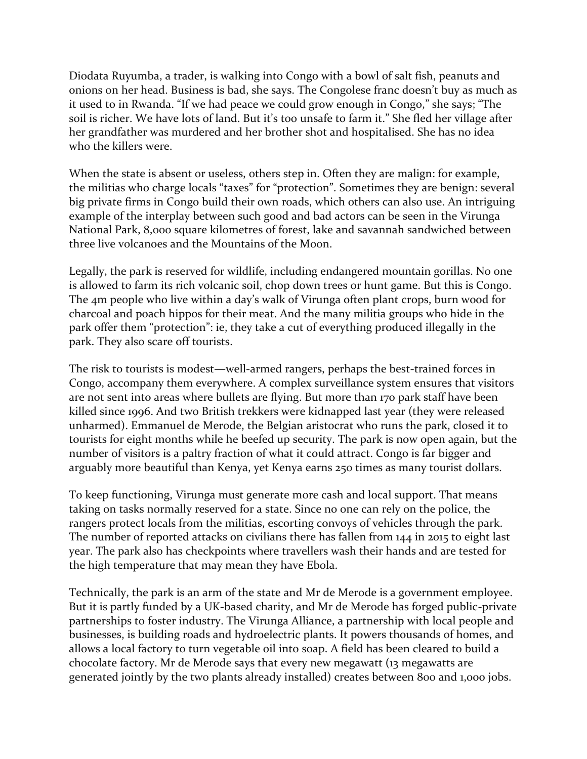Diodata Ruyumba, a trader, is walking into Congo with a bowl of salt fish, peanuts and onions on her head. Business is bad, she says. The Congolese franc doesn't buy as much as it used to in Rwanda. "If we had peace we could grow enough in Congo," she says; "The soil is richer. We have lots of land. But it's too unsafe to farm it." She fled her village after her grandfather was murdered and her brother shot and hospitalised. She has no idea who the killers were.

When the state is absent or useless, others step in. Often they are malign: for example, the militias who charge locals "taxes" for "protection". Sometimes they are benign: several big private firms in Congo build their own roads, which others can also use. An intriguing example of the interplay between such good and bad actors can be seen in the Virunga National Park, 8,000 square kilometres of forest, lake and savannah sandwiched between three live volcanoes and the Mountains of the Moon.

Legally, the park is reserved for wildlife, including endangered mountain gorillas. No one is allowed to farm its rich volcanic soil, chop down trees or hunt game. But this is Congo. The 4m people who live within a day's walk of Virunga often plant crops, burn wood for charcoal and poach hippos for their meat. And the many militia groups who hide in the park offer them "protection": ie, they take a cut of everything produced illegally in the park. They also scare off tourists.

The risk to tourists is modest—well-armed rangers, perhaps the best-trained forces in Congo, accompany them everywhere. A complex surveillance system ensures that visitors are not sent into areas where bullets are flying. But more than 170 park staff have been killed since 1996. And two British trekkers were kidnapped last year (they were released unharmed). Emmanuel de Merode, the Belgian aristocrat who runs the park, closed it to tourists for eight months while he beefed up security. The park is now open again, but the number of visitors is a paltry fraction of what it could attract. Congo is far bigger and arguably more beautiful than Kenya, yet Kenya earns 250 times as many tourist dollars.

To keep functioning, Virunga must generate more cash and local support. That means taking on tasks normally reserved for a state. Since no one can rely on the police, the rangers protect locals from the militias, escorting convoys of vehicles through the park. The number of reported attacks on civilians there has fallen from 144 in 2015 to eight last year. The park also has checkpoints where travellers wash their hands and are tested for the high temperature that may mean they have Ebola.

Technically, the park is an arm of the state and Mr de Merode is a government employee. But it is partly funded by a UK-based charity, and Mr de Merode has forged public-private partnerships to foster industry. The Virunga Alliance, a partnership with local people and businesses, is building roads and hydroelectric plants. It powers thousands of homes, and allows a local factory to turn vegetable oil into soap. A field has been cleared to build a chocolate factory. Mr de Merode says that every new megawatt (13 megawatts are generated jointly by the two plants already installed) creates between 800 and 1,000 jobs.